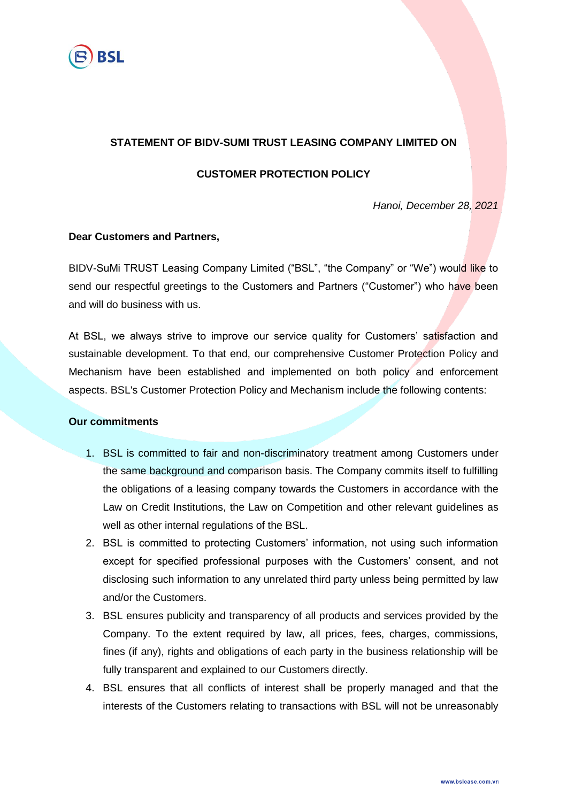

# **STATEMENT OF BIDV-SUMI TRUST LEASING COMPANY LIMITED ON**

### **CUSTOMER PROTECTION POLICY**

*Hanoi, December 28, 2021*

#### **Dear Customers and Partners,**

BIDV-SuMi TRUST Leasing Company Limited ("BSL", "the Company" or "We") would like to send our respectful greetings to the Customers and Partners ("Customer") who have been and will do business with us.

At BSL, we always strive to improve our service quality for Customers' satisfaction and sustainable development. To that end, our comprehensive Customer Protection Policy and Mechanism have been established and implemented on both policy and enforcement aspects. BSL's Customer Protection Policy and Mechanism include the following contents:

#### **Our commitments**

- 1. BSL is committed to fair and non-discriminatory treatment among Customers under the same background and comparison basis. The Company commits itself to fulfilling the obligations of a leasing company towards the Customers in accordance with the Law on Credit Institutions, the Law on Competition and other relevant guidelines as well as other internal regulations of the BSL.
- 2. BSL is committed to protecting Customers' information, not using such information except for specified professional purposes with the Customers' consent, and not disclosing such information to any unrelated third party unless being permitted by law and/or the Customers.
- 3. BSL ensures publicity and transparency of all products and services provided by the Company. To the extent required by law, all prices, fees, charges, commissions, fines (if any), rights and obligations of each party in the business relationship will be fully transparent and explained to our Customers directly.
- 4. BSL ensures that all conflicts of interest shall be properly managed and that the interests of the Customers relating to transactions with BSL will not be unreasonably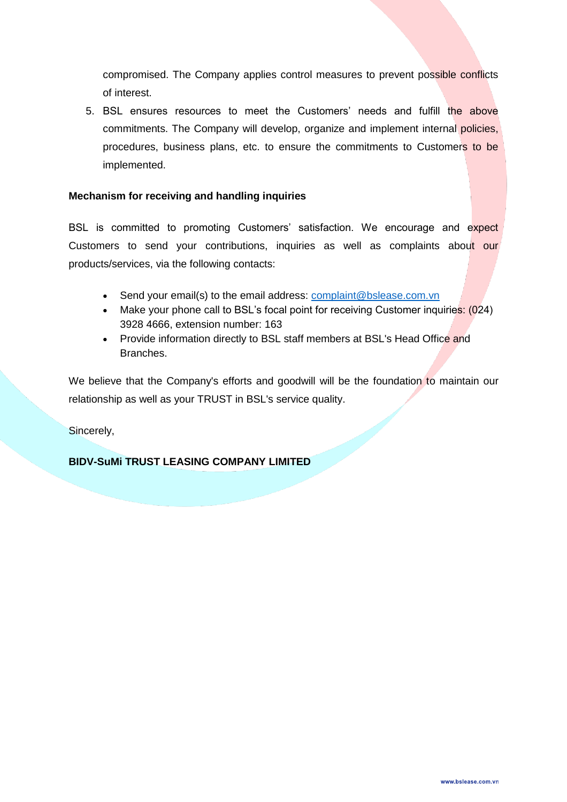compromised. The Company applies control measures to prevent possible conflicts of interest.

5. BSL ensures resources to meet the Customers' needs and fulfill the above commitments. The Company will develop, organize and implement internal policies, procedures, business plans, etc. to ensure the commitments to Customers to be implemented.

### **Mechanism for receiving and handling inquiries**

BSL is committed to promoting Customers' satisfaction. We encourage and expect Customers to send your contributions, inquiries as well as complaints about our products/services, via the following contacts:

- Send your email(s) to the email address: [complaint@bslease.com.vn](mailto:complaint@bslease.com.vn)
- Make your phone call to BSL's focal point for receiving Customer inquiries: (024) 3928 4666, extension number: 163
- Provide information directly to BSL staff members at BSL's Head Office and Branches.

We believe that the Company's efforts and goodwill will be the foundation to maintain our relationship as well as your TRUST in BSL's service quality.

Sincerely,

# **BIDV-SuMi TRUST LEASING COMPANY LIMITED**